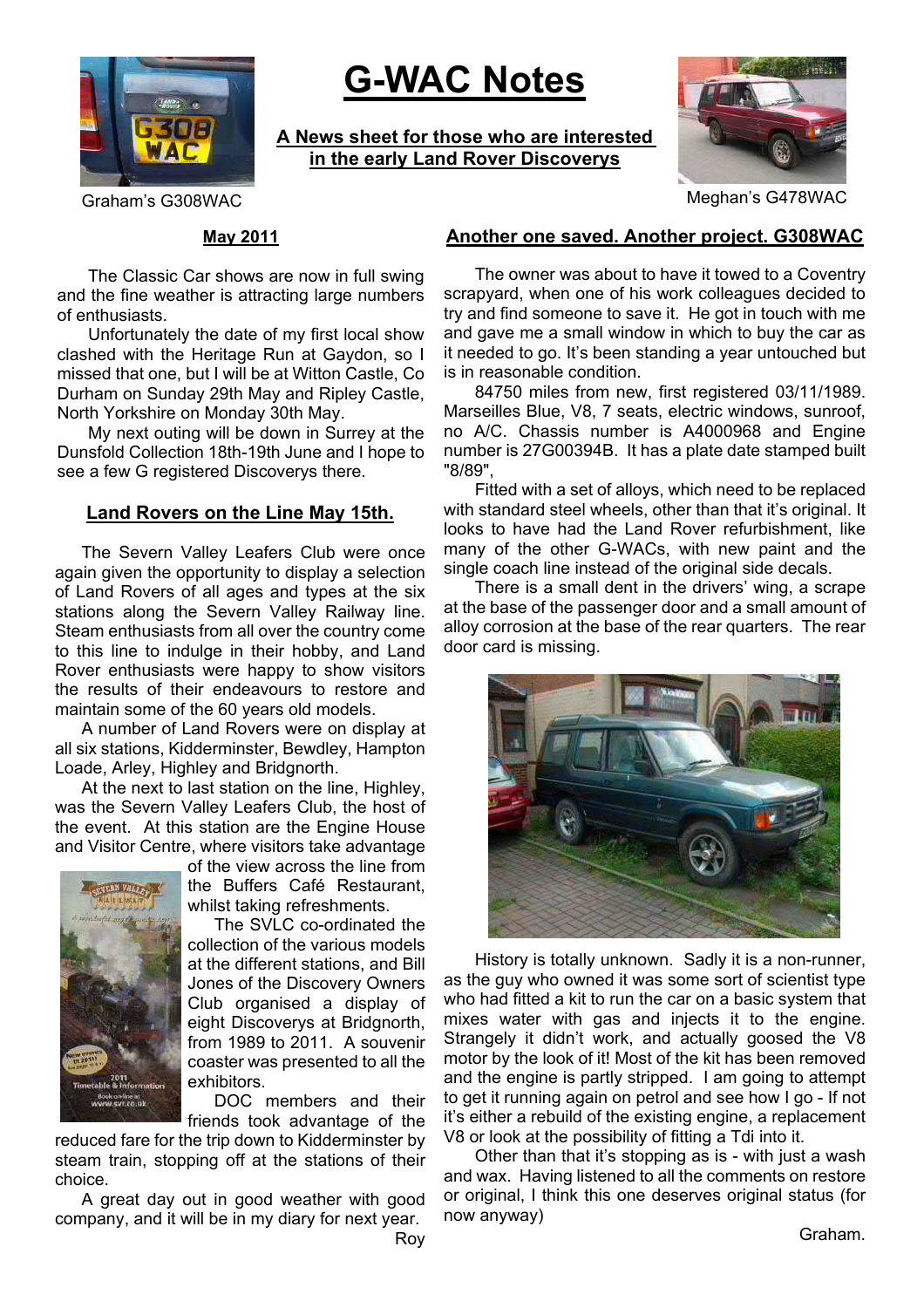

# **G-WAC Notes**

**A News sheet for those who are interested in the early Land Rover Discoverys**



Graham's G308WAC GRAME CONSULTER STATES OF MEGANIC MEGANIC MEGANIC MEGANIC

#### **May 2011**

The Classic Car shows are now in full swing and the fine weather is attracting large numbers of enthusiasts.

Unfortunately the date of my first local show clashed with the Heritage Run at Gaydon, so I missed that one, but I will be at Witton Castle, Co Durham on Sunday 29th May and Ripley Castle, North Yorkshire on Monday 30th May.

My next outing will be down in Surrey at the Dunsfold Collection 18th-19th June and I hope to see a few G registered Discoverys there.

#### **Land Rovers on the Line May 15th.**

The Severn Valley Leafers Club were once again given the opportunity to display a selection of Land Rovers of all ages and types at the six stations along the Severn Valley Railway line. Steam enthusiasts from all over the country come to this line to indulge in their hobby, and Land Rover enthusiasts were happy to show visitors the results of their endeavours to restore and maintain some of the 60 years old models.

A number of Land Rovers were on display at all six stations, Kidderminster, Bewdley, Hampton Loade, Arley, Highley and Bridgnorth.

At the next to last station on the line, Highley, was the Severn Valley Leafers Club, the host of the event. At this station are the Engine House and Visitor Centre, where visitors take advantage



of the view across the line from the Buffers Café Restaurant, whilst taking refreshments.

The SVLC co-ordinated the collection of the various models at the different stations, and Bill Jones of the Discovery Owners Club organised a display of eight Discoverys at Bridgnorth, from 1989 to 2011. A souvenir coaster was presented to all the exhibitors.

DOC members and their friends took advantage of the

reduced fare for the trip down to Kidderminster by steam train, stopping off at the stations of their choice.

A great day out in good weather with good company, and it will be in my diary for next year.

Roy

#### **Another one saved. Another project. G308WAC**

The owner was about to have it towed to a Coventry scrapyard, when one of his work colleagues decided to try and find someone to save it. He got in touch with me and gave me a small window in which to buy the car as it needed to go. It's been standing a year untouched but is in reasonable condition.

84750 miles from new, first registered 03/11/1989. Marseilles Blue, V8, 7 seats, electric windows, sunroof, no A/C. Chassis number is A4000968 and Engine number is 27G00394B. It has a plate date stamped built "8/89"

Fitted with a set of alloys, which need to be replaced with standard steel wheels, other than that it's original. It looks to have had the Land Rover refurbishment, like many of the other G-WACs, with new paint and the single coach line instead of the original side decals.

There is a small dent in the drivers' wing, a scrape at the base of the passenger door and a small amount of alloy corrosion at the base of the rear quarters. The rear door card is missing.



History is totally unknown. Sadly it is a non-runner, as the guy who owned it was some sort of scientist type who had fitted a kit to run the car on a basic system that mixes water with gas and injects it to the engine. Strangely it didn't work, and actually goosed the V8 motor by the look of it! Most of the kit has been removed and the engine is partly stripped. I am going to attempt to get it running again on petrol and see how I go - If not it's either a rebuild of the existing engine, a replacement V8 or look at the possibility of fitting a Tdi into it.

Other than that it's stopping as is - with just a wash and wax. Having listened to all the comments on restore or original, I think this one deserves original status (for now anyway)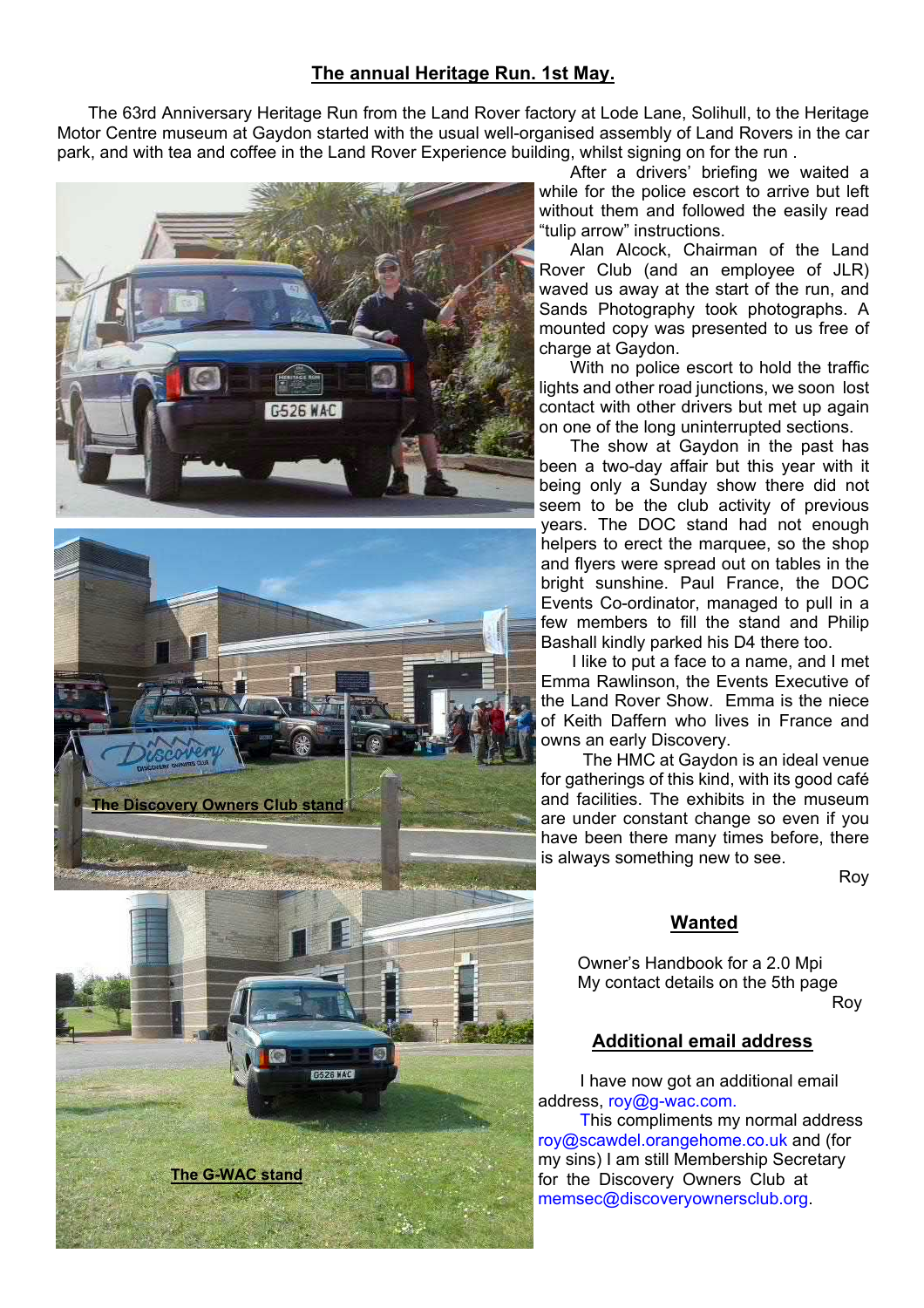## **The annual Heritage Run. 1st May.**

The 63rd Anniversary Heritage Run from the Land Rover factory at Lode Lane, Solihull, to the Heritage Motor Centre museum at Gaydon started with the usual well-organised assembly of Land Rovers in the car park, and with tea and coffee in the Land Rover Experience building, whilst signing on for the run .



After a drivers' briefing we waited a while for the police escort to arrive but left without them and followed the easily read "tulip arrow" instructions.

Alan Alcock, Chairman of the Land Rover Club (and an employee of JLR) waved us away at the start of the run, and Sands Photography took photographs. A mounted copy was presented to us free of charge at Gaydon.

With no police escort to hold the traffic lights and other road junctions, we soon lost contact with other drivers but met up again on one of the long uninterrupted sections.

The show at Gaydon in the past has been a two-day affair but this year with it being only a Sunday show there did not seem to be the club activity of previous years. The DOC stand had not enough helpers to erect the marquee, so the shop and flyers were spread out on tables in the bright sunshine. Paul France, the DOC Events Co-ordinator, managed to pull in a few members to fill the stand and Philip Bashall kindly parked his D4 there too.

I like to put a face to a name, and I met Emma Rawlinson, the Events Executive of the Land Rover Show. Emma is the niece of Keith Daffern who lives in France and owns an early Discovery.

The HMC at Gaydon is an ideal venue for gatherings of this kind, with its good café and facilities. The exhibits in the museum are under constant change so even if you have been there many times before, there is always something new to see.

Roy

## **Wanted**

Owner's Handbook for a 2.0 Mpi My contact details on the 5th page Roy

## **Additional email address**

I have now got an additional email address, roy@g-wac.com.

This compliments my normal address roy@scawdel.orangehome.co.uk and (for my sins) I am still Membership Secretary for the Discovery Owners Club at memsec@discoveryownersclub.org.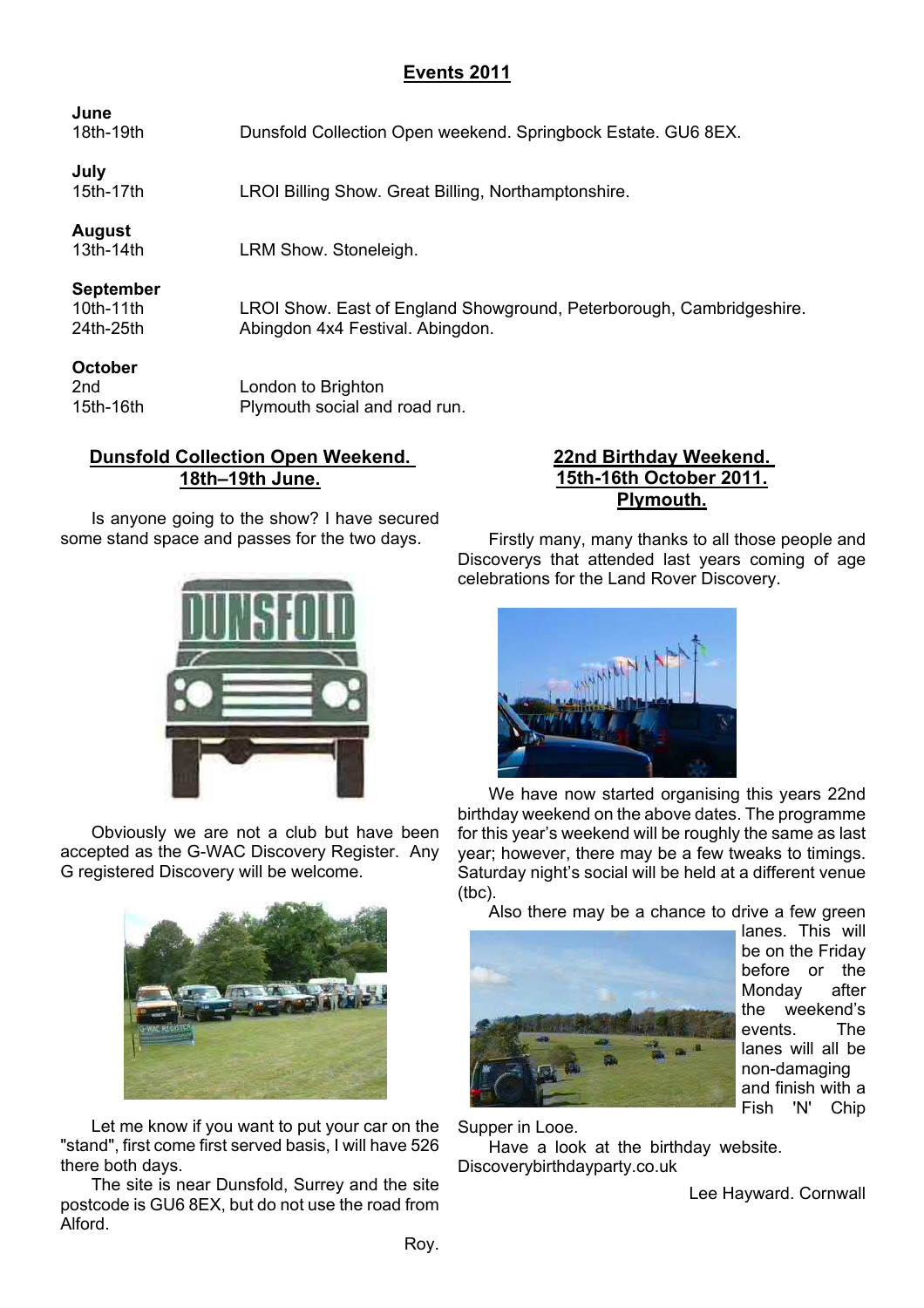# **Events 2011**

| June<br>18th-19th                            | Dunsfold Collection Open weekend. Springbock Estate. GU6 8EX.                                            |
|----------------------------------------------|----------------------------------------------------------------------------------------------------------|
| July<br>15th-17th                            | LROI Billing Show. Great Billing, Northamptonshire.                                                      |
| <b>August</b><br>$13th-14th$                 | LRM Show. Stoneleigh.                                                                                    |
| <b>September</b><br>$10th-11th$<br>24th-25th | LROI Show. East of England Showground, Peterborough, Cambridgeshire.<br>Abingdon 4x4 Festival. Abingdon. |
| <b>October</b><br>2nd<br>15th-16th           | London to Brighton<br>Plymouth social and road run.                                                      |

# **Dunsfold Collection Open Weekend. 18th–19th June.**

Is anyone going to the show? I have secured some stand space and passes for the two days.



Obviously we are not a club but have been accepted as the G-WAC Discovery Register. Any G registered Discovery will be welcome.



Let me know if you want to put your car on the "stand", first come first served basis, I will have 526 there both days.

The site is near Dunsfold, Surrey and the site postcode is GU6 8EX, but do not use the road from Alford.

#### **22nd Birthday Weekend. 15th-16th October 2011. Plymouth.**

Firstly many, many thanks to all those people and Discoverys that attended last years coming of age celebrations for the Land Rover Discovery.



We have now started organising this years 22nd birthday weekend on the above dates. The programme for this year's weekend will be roughly the same as last year; however, there may be a few tweaks to timings. Saturday night's social will be held at a different venue (tbc).

Also there may be a chance to drive a few green



lanes. This will be on the Friday before or the Monday after the weekend's events. The lanes will all be non-damaging and finish with a Fish 'N' Chip

Supper in Looe.

Have a look at the birthday website. Discoverybirthdayparty.co.uk

Lee Hayward. Cornwall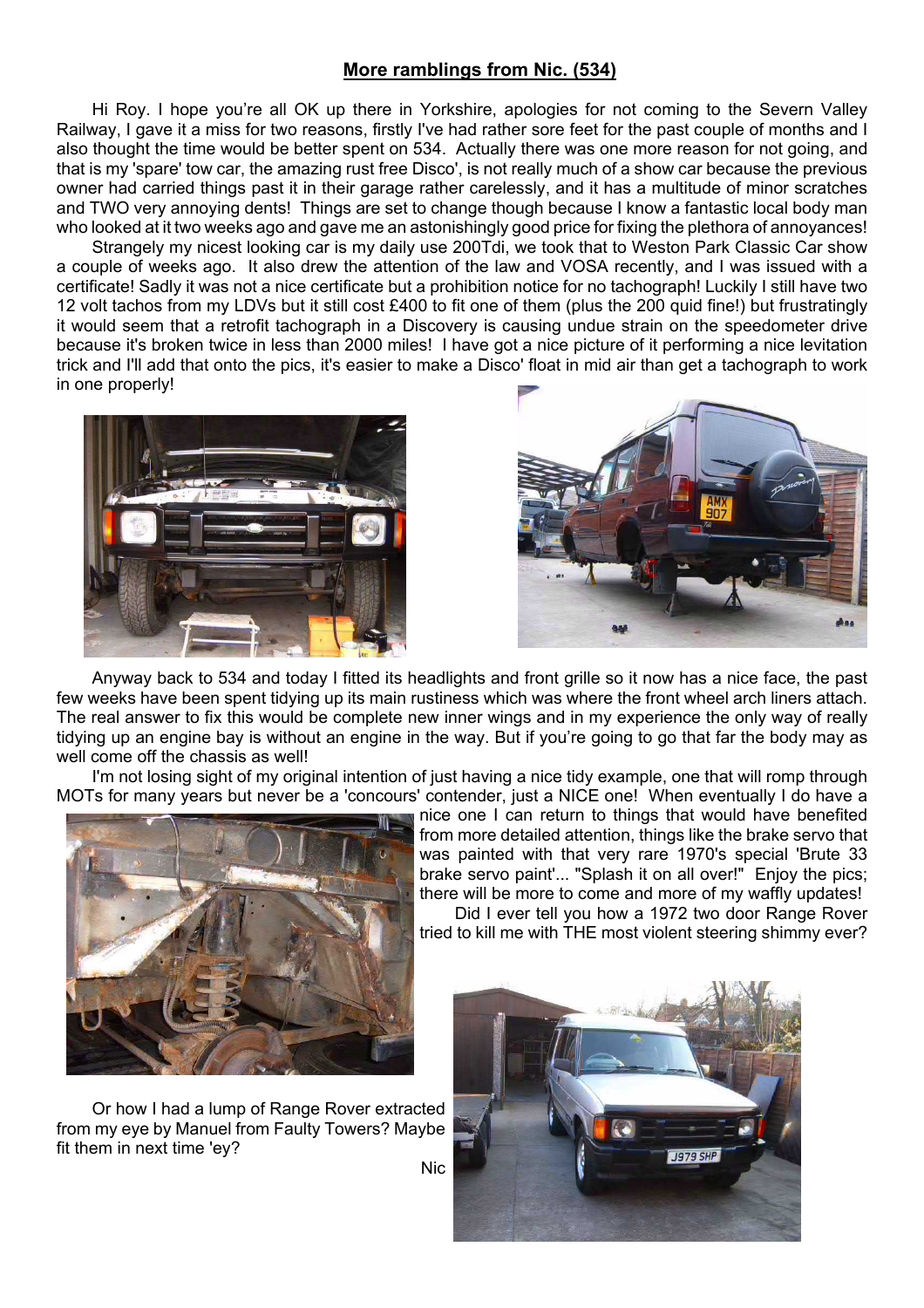#### **More ramblings from Nic. (534)**

Hi Roy. I hope you're all OK up there in Yorkshire, apologies for not coming to the Severn Valley Railway, I gave it a miss for two reasons, firstly I've had rather sore feet for the past couple of months and I also thought the time would be better spent on 534. Actually there was one more reason for not going, and that is my 'spare' tow car, the amazing rust free Disco', is not really much of a show car because the previous owner had carried things past it in their garage rather carelessly, and it has a multitude of minor scratches and TWO very annoying dents! Things are set to change though because I know a fantastic local body man who looked at it two weeks ago and gave me an astonishingly good price for fixing the plethora of annoyances!

Strangely my nicest looking car is my daily use 200Tdi, we took that to Weston Park Classic Car show a couple of weeks ago. It also drew the attention of the law and VOSA recently, and I was issued with a certificate! Sadly it was not a nice certificate but a prohibition notice for no tachograph! Luckily I still have two 12 volt tachos from my LDVs but it still cost £400 to fit one of them (plus the 200 quid fine!) but frustratingly it would seem that a retrofit tachograph in a Discovery is causing undue strain on the speedometer drive because it's broken twice in less than 2000 miles! I have got a nice picture of it performing a nice levitation trick and I'll add that onto the pics, it's easier to make a Disco' float in mid air than get a tachograph to work in one properly!





Anyway back to 534 and today I fitted its headlights and front grille so it now has a nice face, the past few weeks have been spent tidying up its main rustiness which was where the front wheel arch liners attach. The real answer to fix this would be complete new inner wings and in my experience the only way of really tidying up an engine bay is without an engine in the way. But if you're going to go that far the body may as well come off the chassis as well!

I'm not losing sight of my original intention of just having a nice tidy example, one that will romp through MOTs for many years but never be a 'concours' contender, just a NICE one! When eventually I do have a



Or how I had a lump of Range Rover extracted from my eye by Manuel from Faulty Towers? Maybe fit them in next time 'ey?

nice one I can return to things that would have benefited from more detailed attention, things like the brake servo that was painted with that very rare 1970's special 'Brute 33 brake servo paint'... "Splash it on all over!" Enjoy the pics; there will be more to come and more of my waffly updates! Did I ever tell you how a 1972 two door Range Rover

tried to kill me with THE most violent steering shimmy ever?

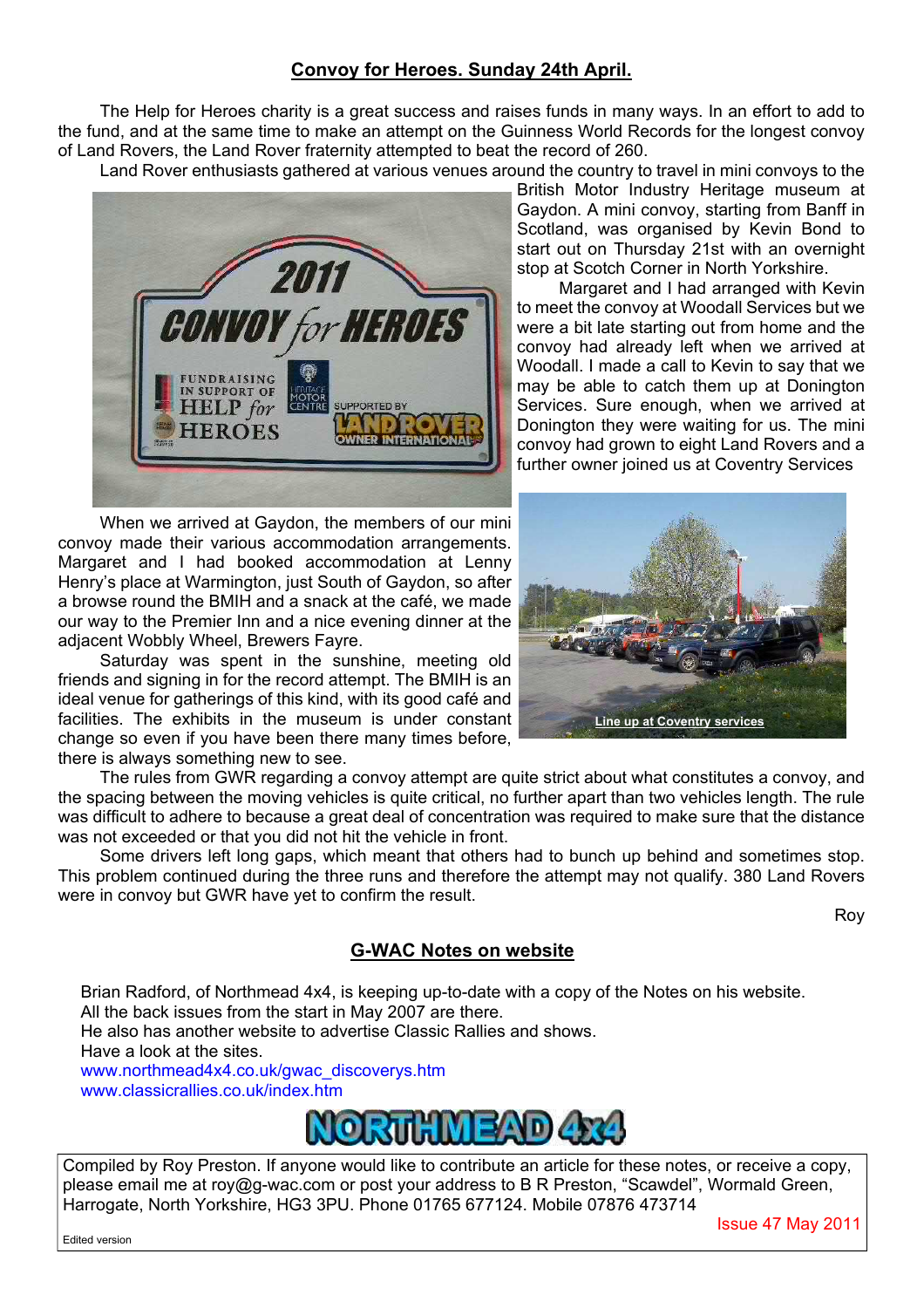# **Convoy for Heroes. Sunday 24th April.**

The Help for Heroes charity is a great success and raises funds in many ways. In an effort to add to the fund, and at the same time to make an attempt on the Guinness World Records for the longest convoy of Land Rovers, the Land Rover fraternity attempted to beat the record of 260.

Land Rover enthusiasts gathered at various venues around the country to travel in mini convoys to the



When we arrived at Gaydon, the members of our mini convoy made their various accommodation arrangements. Margaret and I had booked accommodation at Lenny Henry's place at Warmington, just South of Gaydon, so after a browse round the BMIH and a snack at the café, we made our way to the Premier Inn and a nice evening dinner at the adjacent Wobbly Wheel, Brewers Fayre.

Saturday was spent in the sunshine, meeting old friends and signing in for the record attempt. The BMIH is an ideal venue for gatherings of this kind, with its good café and facilities. The exhibits in the museum is under constant change so even if you have been there many times before, there is always something new to see.

The rules from GWR regarding a convoy attempt are quite strict about what constitutes a convoy, and the spacing between the moving vehicles is quite critical, no further apart than two vehicles length. The rule was difficult to adhere to because a great deal of concentration was required to make sure that the distance was not exceeded or that you did not hit the vehicle in front.

Some drivers left long gaps, which meant that others had to bunch up behind and sometimes stop. This problem continued during the three runs and therefore the attempt may not qualify. 380 Land Rovers were in convoy but GWR have yet to confirm the result.

## **G-WAC Notes on website**

Brian Radford, of Northmead 4x4, is keeping up-to-date with a copy of the Notes on his website. All the back issues from the start in May 2007 are there. He also has another website to advertise Classic Rallies and shows. Have a look at the sites. www.northmead4x4.co.uk/gwac\_discoverys.htm www.classicrallies.co.uk/index.htm



Compiled by Roy Preston. If anyone would like to contribute an article for these notes, or receive a copy, please email me at roy@g-wac.com or post your address to B R Preston, "Scawdel", Wormald Green, Harrogate, North Yorkshire, HG3 3PU. Phone 01765 677124. Mobile 07876 473714

#### Edited version

British Motor Industry Heritage museum at Gaydon. A mini convoy, starting from Banff in Scotland, was organised by Kevin Bond to start out on Thursday 21st with an overnight stop at Scotch Corner in North Yorkshire.

Margaret and I had arranged with Kevin to meet the convoy at Woodall Services but we were a bit late starting out from home and the convoy had already left when we arrived at Woodall. I made a call to Kevin to say that we may be able to catch them up at Donington Services. Sure enough, when we arrived at Donington they were waiting for us. The mini convoy had grown to eight Land Rovers and a further owner joined us at Coventry Services



Issue 47 May 2011

Roy